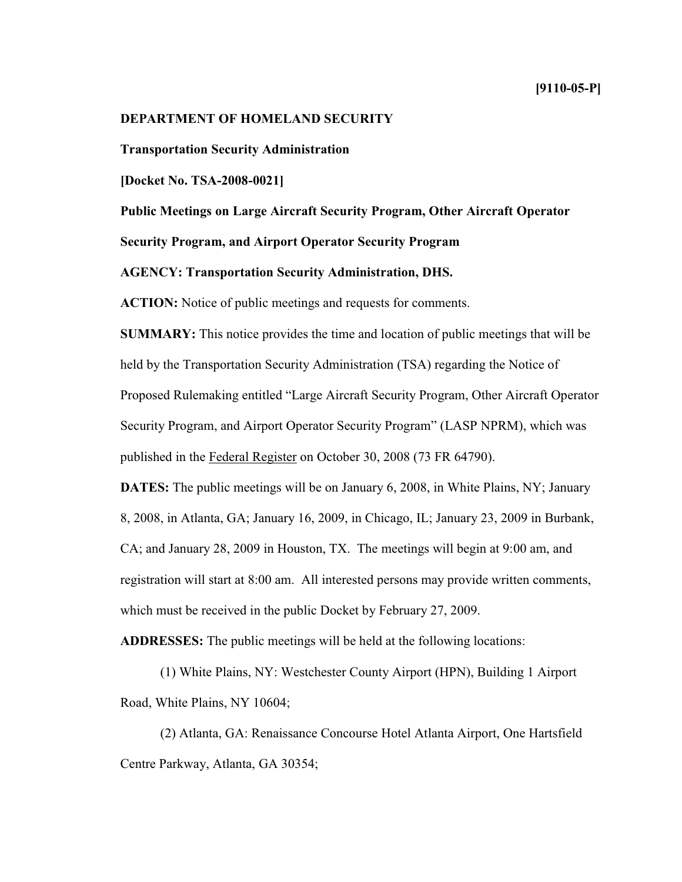# **DEPARTMENT OF HOMELAND SECURITY**

**Transportation Security Administration**

**[Docket No. TSA-2008-0021]**

**Public Meetings on Large Aircraft Security Program, Other Aircraft Operator**

**Security Program, and Airport Operator Security Program**

**AGENCY: Transportation Security Administration, DHS.**

**ACTION:** Notice of public meetings and requests for comments.

**SUMMARY:** This notice provides the time and location of public meetings that will be held by the Transportation Security Administration (TSA) regarding the Notice of Proposed Rulemaking entitled "Large Aircraft Security Program, Other Aircraft Operator Security Program, and Airport Operator Security Program" (LASP NPRM), which was published in the Federal Register on October 30, 2008(73FR 64790).

**DATES:** The public meetings will be on January 6, 2008, in White Plains, NY; January 8, 2008, in Atlanta, GA; January 16, 2009, in Chicago, IL; January 23, 2009 in Burbank, CA; and January 28, 2009 in Houston, TX. The meetings will begin at 9:00 am, and registration will start at 8:00 am. All interested persons may provide written comments, which must be received in the public Docket by February 27, 2009.

**ADDRESSES:** The public meetings will be held at the following locations:

(1) W hite Plains, NY:W estchester County Airport (HPN), Building 1 Airport Road, White Plains, NY 10604;

(2) Atlanta, GA: Renaissance Concourse Hotel Atlanta Airport, One Hartsfield Centre Parkway, Atlanta, GA 30354;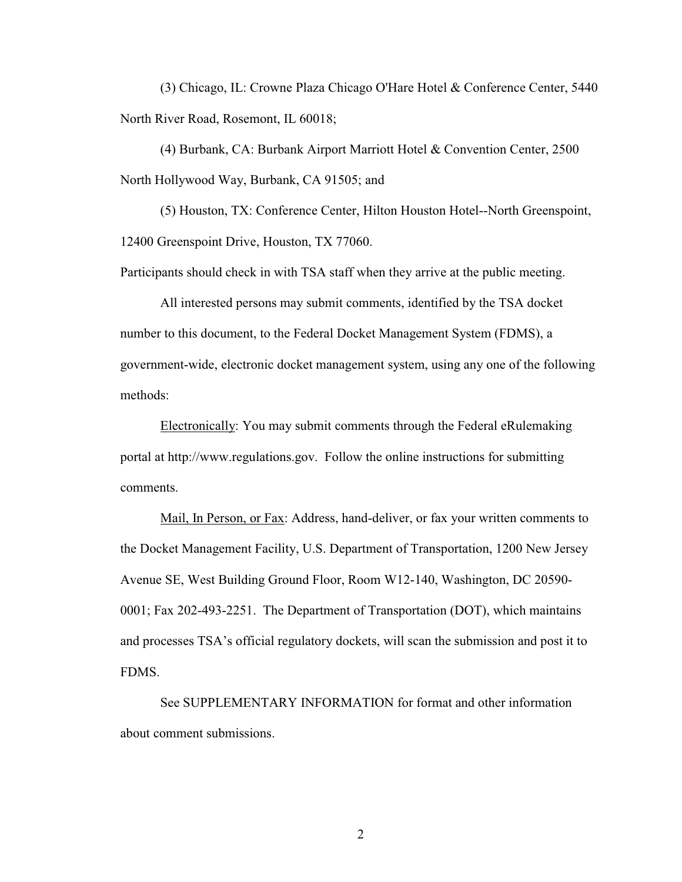(3) Chicago, IL:Crowne Plaza Chicago O'Hare Hotel & Conference Center, 5440 North River Road, Rosemont, IL 60018;

(4) Burbank, CA:Burbank Airport Marriott Hotel & Convention Center, 2500 North Hollywood Way, Burbank, CA 91505; and

(5) Houston, TX:Conference Center, Hilton Houston Hotel--North Greenspoint, 12400 Greenspoint Drive, Houston, TX 77060.

Participants should check in with TSA staff when they arrive at the public meeting.

All interested persons may submit comments, identified by the TSA docket number to this document, to the Federal Docket Management System (FDMS), a government-wide, electronic docket management system, using any one of the following methods:

Electronically:You may submit comments through the Federal eRulemaking portal at http://www.regulations.gov. Follow the online instructions for submitting comments.

Mail, In Person, or Fax: Address, hand-deliver, or fax your written comments to the Docket Management Facility, U.S. Department of Transportation, 1200 New Jersey Avenue SE, West Building Ground Floor, Room W12-140, Washington, DC 20590-0001;Fax202-493-2251. The Department of Transportation (DOT), which maintains and processes TSA's official regulatory dockets, will scan the submission and post it to FDMS.

See SUPPLEMENTARY INFORMATION for format and other information about comment submissions.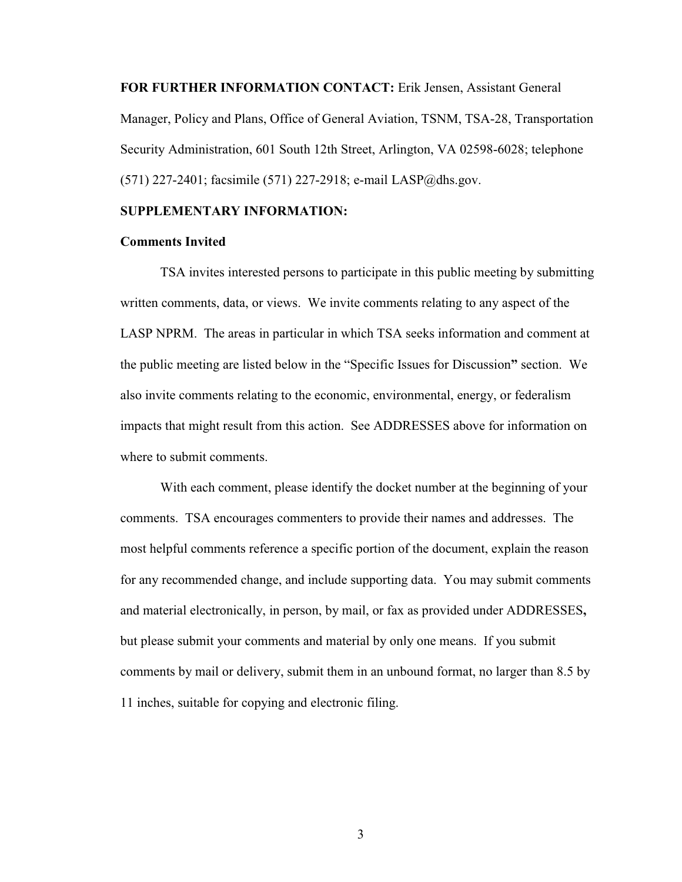**FOR FURTHER INFORMATION CONTACT:** Erik Jensen, Assistant General Manager, Policy and Plans, Office of General Aviation, TSNM, TSA-28, Transportation Security Administration, 601 South 12th Street, Arlington, VA 02598-6028; telephone  $(571)$  227-2401; facsimile (571) 227-2918; e-mail LASP@dhs.gov.

#### **SUPPLEMENTARY INFORMATION:**

#### **Comments Invited**

TSA invites interested persons to participate in this public meeting by submitting written comments, data, or views. We invite comments relating to any aspect of the LASP NPRM. The areas in particular in which TSA seeks information and comment at the public meeting are listed below in the "Specific Issues for Discussion**"** section. W e also invite comments relating to the economic, environmental, energy, or federalism impacts that might result from this action. See ADDRESSES above for information on where to submit comments.

With each comment, please identify the docket number at the beginning of your comments. TSA encourages commenters to provide their names and addresses. The most helpful comments reference a specific portion of the document, explain the reason for any recommended change, and include supporting data. You may submit comments and material electronically, in person, by mail, or faxas provided under ADDRESSES**,** but please submit your comments and material by only one means. If you submit comments by mail or delivery, submit them in an unbound format, no larger than 8.5by 11 inches, suitable for copying and electronic filing.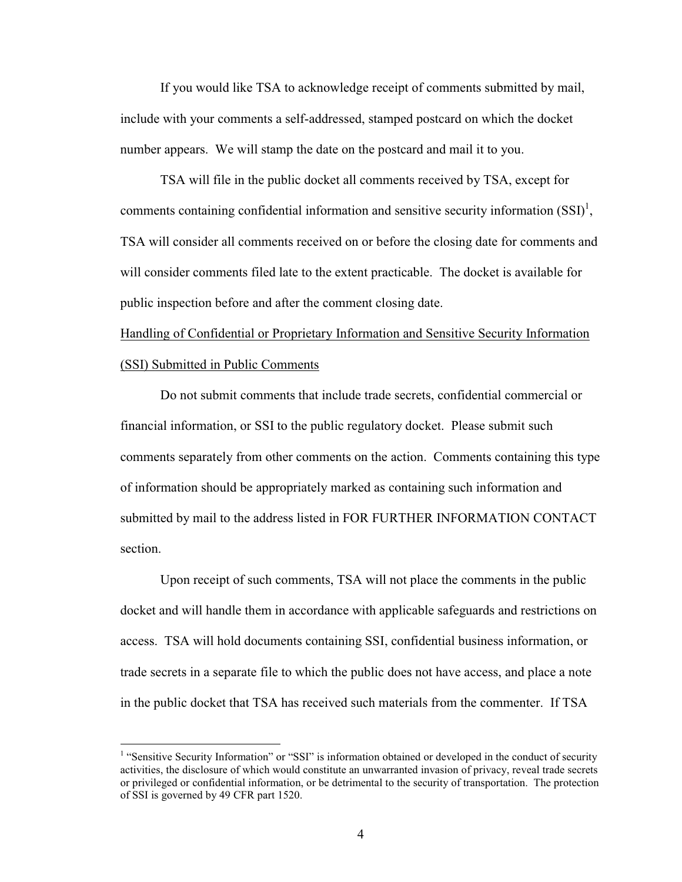If you would like TSA to acknowledge receipt of comments submitted by mail, include with your comments a self-addressed, stamped postcard on which the docket number appears. We will stamp the date on the postcard and mail it to you.

TSA will file in the public docket all comments received by TSA, except for comments containing confidential information and sensitive security information  $(SSI)^1$ , TSA will consider all comments received on or before the closing date for comments and will consider comments filed late to the extent practicable. The docket is available for public inspection before and after the comment closing date.

Handling of Confidential or Proprietary Information and Sensitive Security Information (SSI) Submitted in Public Comments

Do not submit comments that include trade secrets, confidential commercial or financial information, or SSIto the public regulatory docket. Please submit such comments separately from other comments on the action. Comments containing this type of information should be appropriately marked as containing such information and submitted by mail to the address listed in FOR FURTHER INFORMATION CONTACT section.

Upon receipt of such comments, TSA will not place the comments in the public docket and will handle them in accordance with applicable safeguards and restrictions on access. TSA will hold documents containing SSI, confidential business information, or trade secrets in a separate file to which the public does not have access, and place a note in the public docket that TSA has received such materials from the commenter. If TSA

<sup>&</sup>lt;sup>1</sup> "Sensitive Security Information" or "SSI" is information obtained or developed in the conduct of security activities, the disclosure of which would constitute an unwarranted invasion of privacy, reveal trade secrets or privileged or confidential information, or be detrimental to the security of transportation. The protection of SSI is governed by 49 CFR part 1520.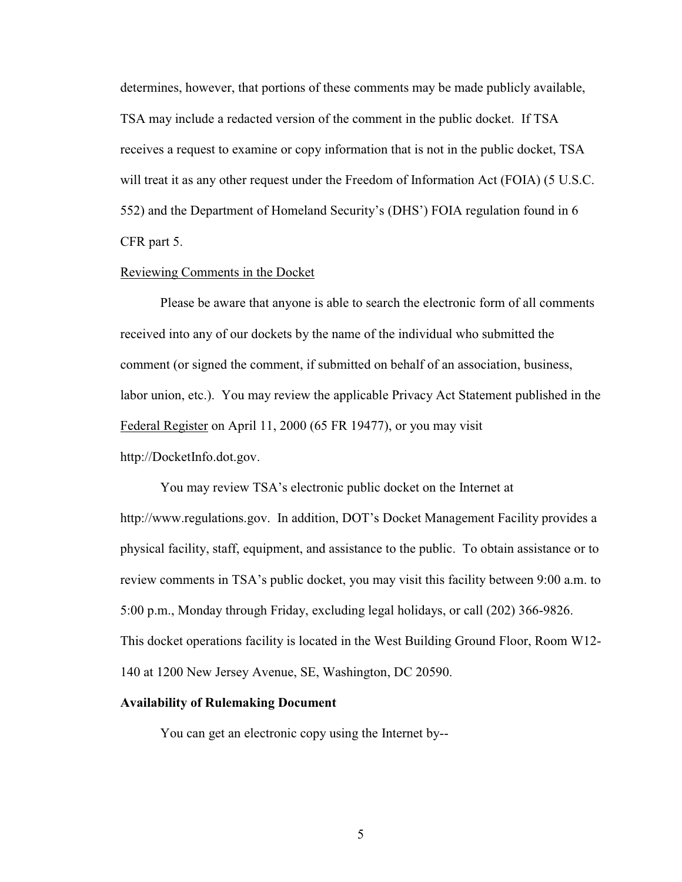determines, however, that portions of these comments may be made publicly available, TSA may include a redacted version of the comment in the public docket. If TSA receives a request to examine or copy information that is not in the public docket, TSA will treat it as any other request under the Freedom of Information Act (FOIA) (5 U.S.C. 552) and the Department of Homeland Security's (DHS') FOIA regulation found in 6 CFR part 5.

### Reviewing Comments in the Docket

Please be aware that anyone is able to search the electronic form of all comments received into any of our dockets by the name of the individual who submitted the comment (or signed the comment, if submitted on behalf of an association, business, labor union, etc.). You may review the applicable Privacy Act Statement published in the Federal Register on April 11, 2000 (65 FR 19477), or you may visit http://DocketInfo.dot.gov.

You may review TSA's electronic public docket on the Internet at http://www.regulations.gov. In addition, DOT's Docket Management Facility provides a physical facility, staff, equipment, and assistance to the public. To obtain assistance or to review comments in TSA's public docket, you may visit this facility between 9:00 a.m. to 5:00 p.m., Monday through Friday, excluding legal holidays, or call (202) 366-9826. This docket operations facility is located in the West Building Ground Floor, Room W12-140 at 1200 New Jersey Avenue, SE, Washington, DC 20590.

## **Availability of Rulemaking Document**

You can get an electronic copy using the Internet by--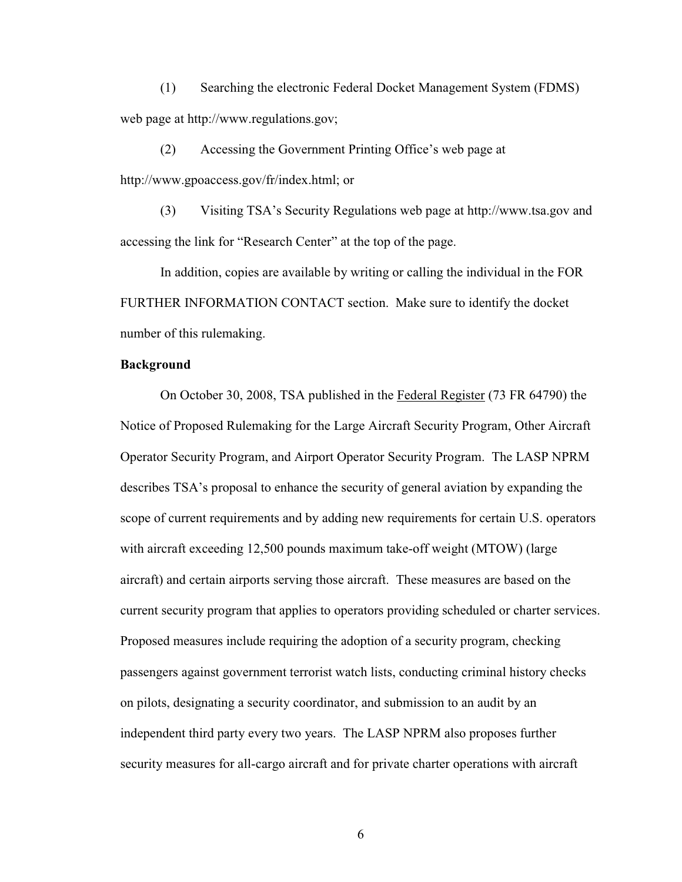(1) Searching the electronic Federal Docket Management System (FDMS) web page at http://www.regulations.gov;

(2) Accessing the Government Printing Office's web page at http://www.gpoaccess.gov/fr/index.html;or

(3) Visiting TSA's Security Regulations web page at http://www.tsa.gov and accessing the link for "Research Center" at the top of the page.

In addition, copies are available by writing or calling the individual in the FOR FURTHER INFORMATION CONTACT section. Make sure to identify the docket number of this rulemaking.

### **Background**

On October 30, 2008, TSA published in the Federal Register (73FR 64790) the Notice of Proposed Rulemaking for the Large Aircraft Security Program, Other Aircraft Operator Security Program, and Airport Operator Security Program. The LASP NPRM describes TSA's proposal to enhance the security of general aviation by expanding the scope of current requirements and by adding new requirements for certain U.S. operators with aircraft exceeding 12,500 pounds maximum take-off weight (MTOW) (large aircraft) and certain airports serving those aircraft. These measures are based on the current security program that applies to operators providing scheduled or charter services. Proposed measures include requiring the adoption of a security program, checking passengers against government terrorist watch lists, conducting criminal history checks on pilots, designating a security coordinator, and submission to an audit by an independent third party every two years. The LASP NPRM also proposes further security measures for all-cargo aircraft and for private charter operations with aircraft

6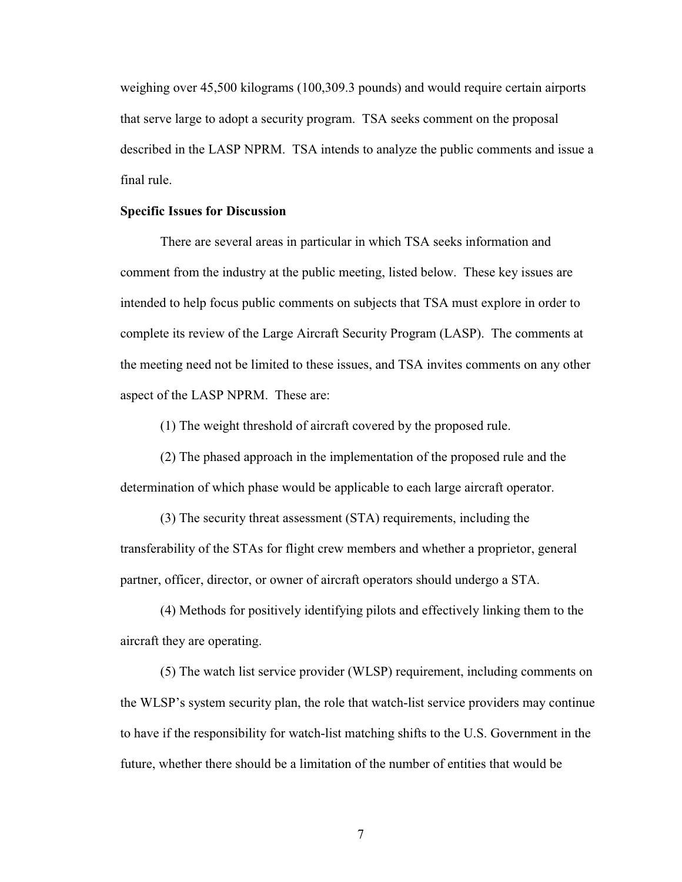weighing over 45,500 kilograms (100,309.3 pounds) and would require certain airports that serve large to adopt a security program. TSA seeks comment on the proposal described in the LASP NPRM. TSA intends to analyze the public comments and issue a final rule.

### **Specific Issues for Discussion**

There are several areas in particular in which TSA seeks information and comment from the industry at the public meeting, listed below. These key issues are intended to help focus public comments on subjects that TSA must explore in order to complete its review of the Large Aircraft Security Program (LASP). The comments at the meeting need not be limited to these issues, and TSA invites comments on any other aspect of the LASP NPRM. These are:

(1) The weight threshold of aircraft covered by the proposed rule.

(2) The phased approach in the implementation of the proposed rule and the determination of which phase would be applicable to each large aircraft operator.

(3) The security threat assessment (STA) requirements, including the transferability of the STAs for flight crew members and whether a proprietor, general partner, officer, director, or owner of aircraft operators should undergo a STA.

(4) Methods for positively identifying pilots and effectively linking them to the aircraft they are operating.

(5) The watch list service provider (W LSP) requirement, including comments on the WLSP's system security plan, the role that watch-list service providers may continue to have if the responsibility for watch-list matching shifts to the U.S. Government in the future, whether there should be a limitation of the number of entities that would be

7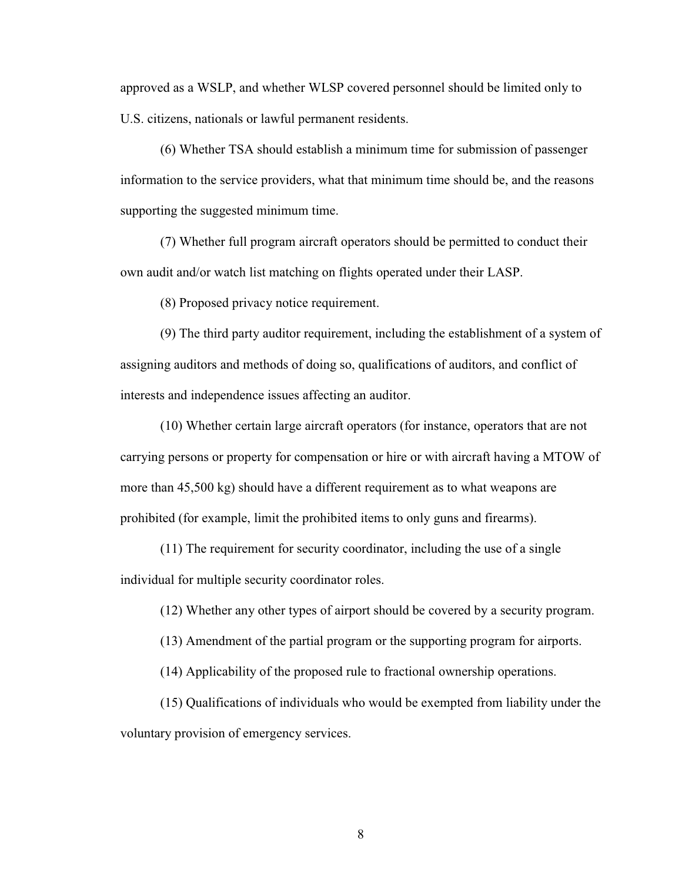approved as a WSLP, and whether WLSP covered personnel should be limited only to U.S. citizens, nationals or lawful permanent residents.

(6) W hether TSA should establish a minimum time for submission of passenger information to the service providers, what that minimum time should be, and the reasons supporting the suggested minimum time.

(7) W hether full program aircraft operators should be permitted to conduct their own audit and/or watch list matching on flights operated under their LASP.

(8) Proposed privacy notice requirement.

(9) The third party auditor requirement, including the establishment of a system of assigning auditors and methods of doing so, qualifications of auditors, and conflict of interests and independence issues affecting an auditor.

(10) W hether certain large aircraft operators (for instance, operators that are not carrying persons or property for compensation or hire or with aircraft having a MTOW of more than 45,500kg) should have a different requirement as to what weapons are prohibited (for example, limit the prohibited items to only guns and firearms).

(11) The requirement for security coordinator, including the use of a single individual for multiple security coordinator roles.

(12) W hether any other types of airport should be covered by a security program.

(13) Amendment of the partial program or the supporting program for airports.

(14) Applicability of the proposed rule to fractional ownership operations.

(15) Qualifications of individuals who would be exempted from liability under the voluntary provision of emergency services.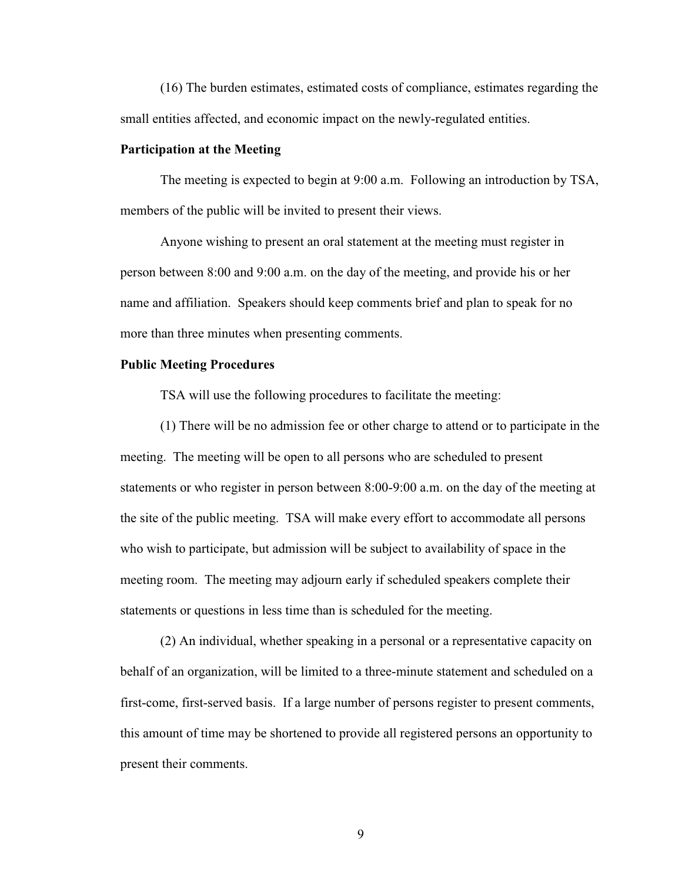(16) The burden estimates, estimated costs of compliance, estimates regarding the small entities affected, and economic impact on the newly-regulated entities.

### **Participation at the Meeting**

The meeting is expected to begin at 9:00 a.m. Following an introduction by TSA, members of the public will be invited to present their views.

Anyone wishing to present an oral statement at the meeting must register in person between 8:00 and 9:00 a.m. on the day of the meeting, and provide his or her name and affiliation. Speakers should keep comments brief and plan to speak for no more than three minutes when presenting comments.

### **Public Meeting Procedures**

TSA will use the following procedures to facilitate the meeting:

(1) There will be no admission fee or other charge to attend or to participate in the meeting. The meeting will be open to all persons who are scheduled to present statements or who register in person between 8:00-9:00 a.m. on the day of the meeting at the site of the public meeting. TSA will make every effort to accommodate all persons who wish to participate, but admission will be subject to availability of space in the meeting room. The meeting may adjourn early if scheduled speakers complete their statements or questions in less time than is scheduled for the meeting.

(2) An individual, whether speaking in a personal or a representative capacity on behalf of an organization, will be limited to a three-minute statement and scheduled on a first-come, first-served basis. If a large number of persons register to present comments, this amount of time may be shortened to provide all registered persons an opportunity to present their comments.